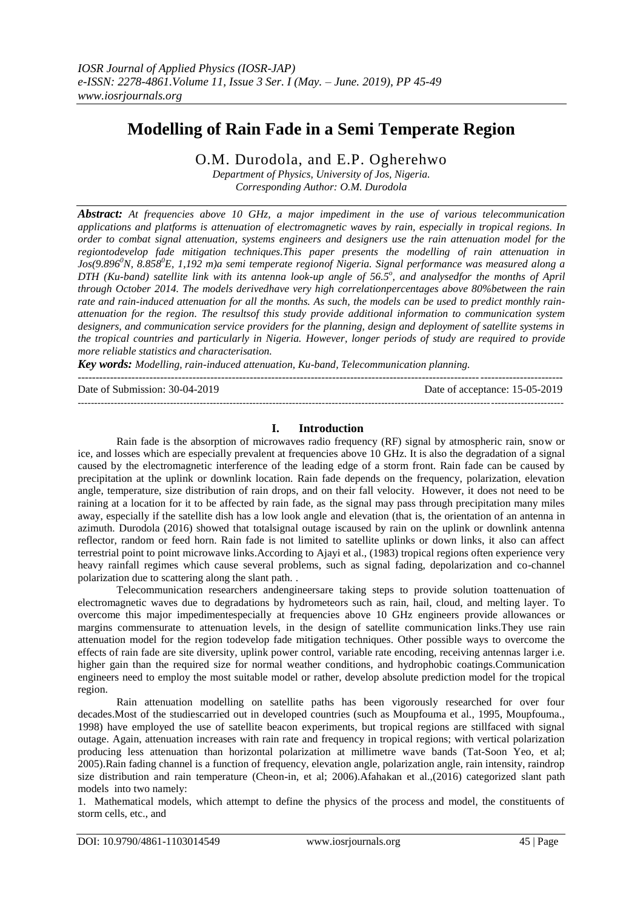# **Modelling of Rain Fade in a Semi Temperate Region**

O.M. Durodola, and E.P. Ogherehwo

*Department of Physics, University of Jos, Nigeria. Corresponding Author: O.M. Durodola*

*Abstract: At frequencies above 10 GHz, a major impediment in the use of various telecommunication applications and platforms is attenuation of electromagnetic waves by rain, especially in tropical regions. In order to combat signal attenuation, systems engineers and designers use the rain attenuation model for the regiontodevelop fade mitigation techniques.This paper presents the modelling of rain attenuation in Jos(9.896<sup>0</sup>N, 8.858<sup>0</sup>E, 1,192 m)a semi temperate regionof Nigeria. Signal performance was measured along a DTH (Ku-band) satellite link with its antenna look-up angle of 56.5<sup>o</sup> , and analysedfor the months of April through October 2014. The models derivedhave very high correlationpercentages above 80%between the rain rate and rain-induced attenuation for all the months. As such, the models can be used to predict monthly rainattenuation for the region. The resultsof this study provide additional information to communication system designers, and communication service providers for the planning, design and deployment of satellite systems in the tropical countries and particularly in Nigeria. However, longer periods of study are required to provide more reliable statistics and characterisation.*

*Key words: Modelling, rain-induced attenuation, Ku-band, Telecommunication planning.*

Date of Submission: 30-04-2019 Date of acceptance: 15-05-2019 ---------------------------------------------------------------------------------------------------------------------------------------------------

# **I. Introduction**

---------------------------------------------------------------------------------------------------------------------------------------

Rain fade is the absorption of microwaves radio frequency (RF) signal by atmospheric rain, snow or ice, and losses which are especially prevalent at frequencies above 10 GHz. It is also the degradation of a signal caused by the electromagnetic interference of the leading edge of a storm front. Rain fade can be caused by precipitation at the uplink or downlink location. Rain fade depends on the frequency, polarization, elevation angle, temperature, size distribution of rain drops, and on their fall velocity. However, it does not need to be raining at a location for it to be affected by rain fade, as the signal may pass through precipitation many miles away, especially if the satellite dish has a low look angle and elevation (that is, the orientation of an antenna in azimuth. Durodola (2016) showed that totalsignal outage iscaused by rain on the uplink or downlink antenna reflector, random or feed horn. Rain fade is not limited to satellite uplinks or down links, it also can affect terrestrial point to point microwave links.According to Ajayi et al., (1983) tropical regions often experience very heavy rainfall regimes which cause several problems, such as signal fading, depolarization and co-channel polarization due to scattering along the slant path. .

Telecommunication researchers andengineersare taking steps to provide solution toattenuation of electromagnetic waves due to degradations by hydrometeors such as rain, hail, cloud, and melting layer. To overcome this major impedimentespecially at frequencies above 10 GHz engineers provide allowances or margins commensurate to attenuation levels, in the design of satellite communication links.They use rain attenuation model for the region todevelop fade mitigation techniques. Other possible ways to overcome the effects of rain fade are [site diversity,](file:\\wiki\Site_diversity) uplink power control, [variable rate encoding,](file:\\wiki\Variable_rate_encoding) receiving antennas larger i.e. higher gain than the required size for normal weather conditions, and [hydrophobic](file:\\wiki\Hydrophobic) coatings.Communication engineers need to employ the most suitable model or rather, develop absolute prediction model for the tropical region.

Rain attenuation modelling on satellite paths has been vigorously researched for over four decades. Most of the studiescarried out in developed countries (such as Moupfouma et al., 1995, Moupfouma., 1998) have employed the use of satellite beacon experiments, but tropical regions are stillfaced with signal outage. Again, attenuation increases with rain rate and frequency in tropical regions; with vertical polarization producing less attenuation than horizontal polarization at millimetre wave bands (Tat-Soon Yeo, et al; 2005).Rain fading channel is a function of frequency, elevation angle, polarization angle, rain intensity, raindrop size distribution and rain temperature (Cheon-in, et al; 2006).Afahakan et al.,(2016) categorized slant path models into two namely:

1. Mathematical models, which attempt to define the physics of the process and model, the constituents of storm cells, etc., and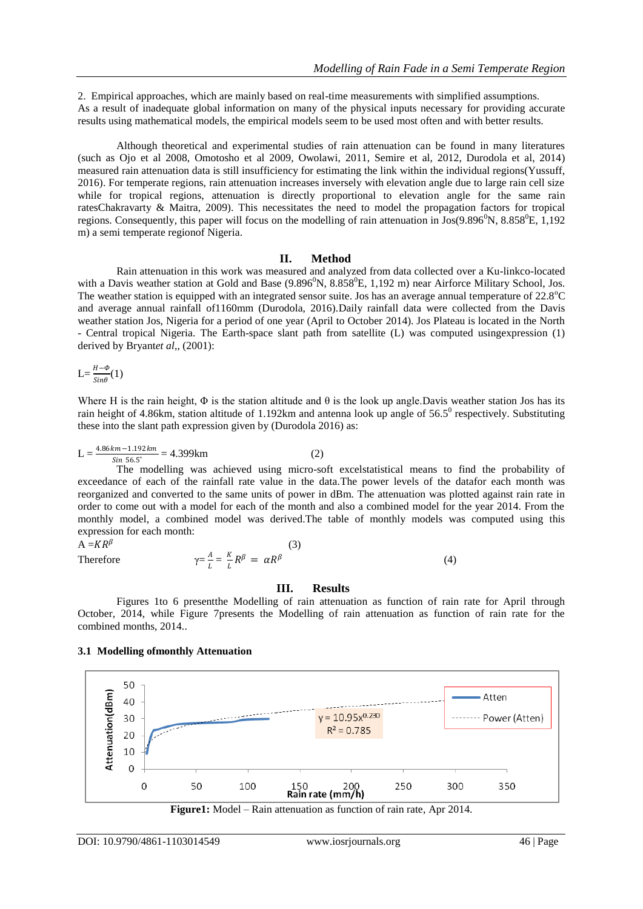2. Empirical approaches, which are mainly based on real-time measurements with simplified assumptions. As a result of inadequate global information on many of the physical inputs necessary for providing accurate results using mathematical models, the empirical models seem to be used most often and with better results.

Although theoretical and experimental studies of rain attenuation can be found in many literatures (such as Ojo et al 2008, Omotosho et al 2009, Owolawi, 2011, Semire et al, 2012, Durodola et al, 2014) measured rain attenuation data is still insufficiency for estimating the link within the individual regions(Yussuff, 2016). For temperate regions, rain attenuation increases inversely with elevation angle due to large rain cell size while for tropical regions, attenuation is directly proportional to elevation angle for the same rain ratesChakravarty & Maitra, 2009). This necessitates the need to model the propagation factors for tropical regions. Consequently, this paper will focus on the modelling of rain attenuation in Jos( $9.896^{\circ}$ N,  $8.858^{\circ}$ E, 1,192 m) a semi temperate regionof Nigeria.

#### **II. Method**

Rain attenuation in this work was measured and analyzed from data collected over a Ku-linkco-located with a Davis weather station at Gold and Base  $(9.896^0N, 8.858^0E, 1,192 m)$  near Airforce Military School, Jos. The weather station is equipped with an integrated sensor suite. Jos has an average annual temperature of  $22.8^{\circ}C$ and average annual rainfall of1160mm (Durodola, 2016).Daily rainfall data were collected from the Davis weather station Jos, Nigeria for a period of one year (April to October 2014). Jos Plateau is located in the North - Central tropical Nigeria. The Earth-space slant path from satellite (L) was computed usingexpression (1) derived by Bryant*et al*,, (2001):

$$
L = \frac{H - \phi}{Sin\theta}(1)
$$

Where H is the rain height,  $\Phi$  is the station altitude and  $\theta$  is the look up angle. Davis weather station Jos has its rain height of 4.86km, station altitude of 1.192km and antenna look up angle of  $56.5^\circ$  respectively. Substituting these into the slant path expression given by (Durodola 2016) as:

$$
L = \frac{4.86km - 1.192km}{\sin 56.5^\circ} = 4.399km
$$
 (2)

 56.5 ͦ The modelling was achieved using micro-soft excelstatistical means to find the probability of exceedance of each of the rainfall rate value in the data.The power levels of the datafor each month was reorganized and converted to the same units of power in dBm. The attenuation was plotted against rain rate in order to come out with a model for each of the month and also a combined model for the year 2014. From the monthly model, a combined model was derived.The table of monthly models was computed using this expression for each month:

$$
A = KR^{\beta}
$$
\nTherefore

\n
$$
\gamma = \frac{A}{L} = \frac{K}{L}R^{\beta} = \alpha R^{\beta}
$$
\n(3)

\n
$$
(4)
$$

#### **III. Results**

Figures 1to 6 presentthe Modelling of rain attenuation as function of rain rate for April through October, 2014, while Figure 7presents the Modelling of rain attenuation as function of rain rate for the combined months, 2014..

#### **3.1 Modelling ofmonthly Attenuation**

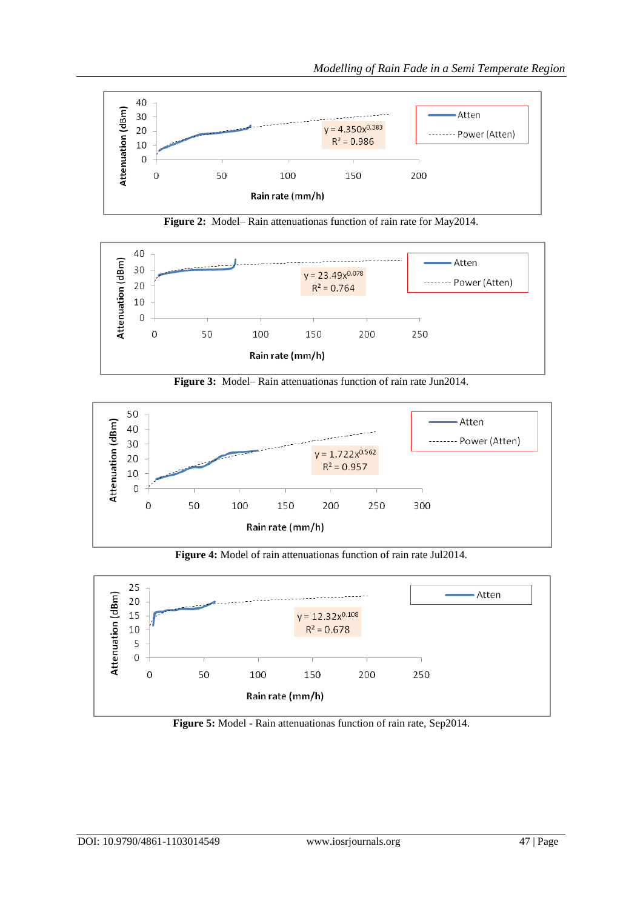









**Figure 4:** Model of rain attenuationas function of rain rate Jul2014.



**Figure 5:** Model - Rain attenuationas function of rain rate, Sep2014.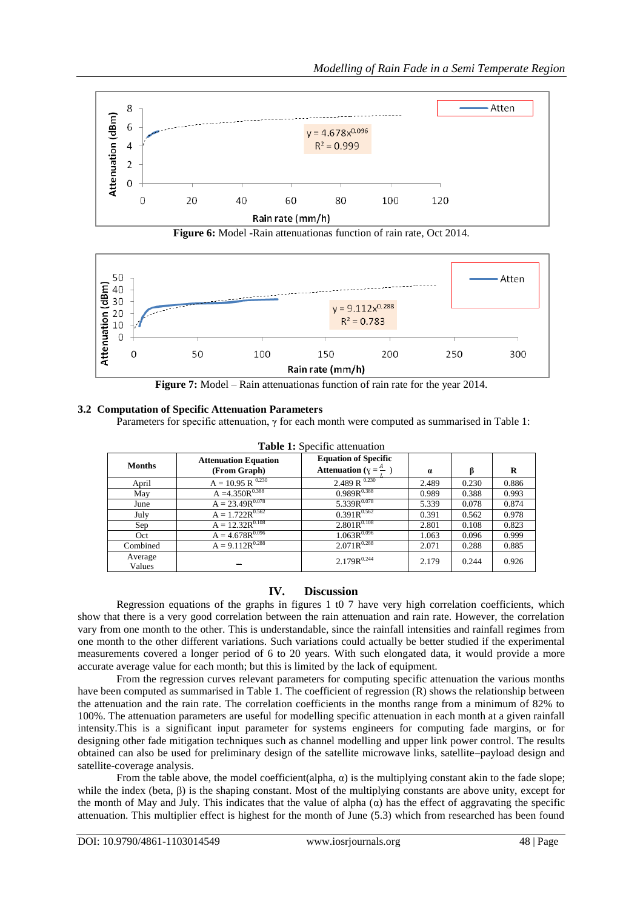





**Figure 7:** Model – Rain attenuationas function of rain rate for the year 2014.

# **3.2 Computation of Specific Attenuation Parameters**

Parameters for specific attenuation, γ for each month were computed as summarised in Table 1:

| Table 1: Specific attenuation |                                             |                                                                         |          |       |       |
|-------------------------------|---------------------------------------------|-------------------------------------------------------------------------|----------|-------|-------|
| <b>Months</b>                 | <b>Attenuation Equation</b><br>(From Graph) | <b>Equation of Specific</b><br><b>Attenuation</b> ( $y = \frac{A}{x}$ ) | $\alpha$ | β     | R     |
| April                         | $A = 10.95 R^{0.230}$                       | 2.489 R $^{0.230}$                                                      | 2.489    | 0.230 | 0.886 |
| May                           | $A = 4.350R^{0.388}$                        | $0.989R^{0.388}$                                                        | 0.989    | 0.388 | 0.993 |
| June                          | $A = 23.49R^{0.078}$                        | $5.339R^{0.078}$                                                        | 5.339    | 0.078 | 0.874 |
| July                          | $A = 1.722R^{0.562}$                        | $0.391R^{0.562}$                                                        | 0.391    | 0.562 | 0.978 |
| Sep                           | $A = 12.32R^{0.108}$                        | $2.801R^{0.108}$                                                        | 2.801    | 0.108 | 0.823 |
| Oct                           | $A = 4.678R^{0.096}$                        | $1.063R^{0.096}$                                                        | 1.063    | 0.096 | 0.999 |
| Combined                      | $A = 9.112R^{0.288}$                        | $2.071R^{0.288}$                                                        | 2.071    | 0.288 | 0.885 |
| Average<br>Values             |                                             | $2.179R^{0.244}$                                                        | 2.179    | 0.244 | 0.926 |

# **IV. Discussion**

Regression equations of the graphs in figures 1 t0 7 have very high correlation coefficients, which show that there is a very good correlation between the rain attenuation and rain rate. However, the correlation vary from one month to the other. This is understandable, since the rainfall intensities and rainfall regimes from one month to the other different variations. Such variations could actually be better studied if the experimental measurements covered a longer period of 6 to 20 years. With such elongated data, it would provide a more accurate average value for each month; but this is limited by the lack of equipment.

From the regression curves relevant parameters for computing specific attenuation the various months have been computed as summarised in Table 1. The coefficient of regression (R) shows the relationship between the attenuation and the rain rate. The correlation coefficients in the months range from a minimum of 82% to 100%. The attenuation parameters are useful for modelling specific attenuation in each month at a given rainfall intensity.This is a significant input parameter for systems engineers for computing fade margins, or for designing other fade mitigation techniques such as channel modelling and upper link power control. The results obtained can also be used for preliminary design of the satellite microwave links, satellite–payload design and satellite-coverage analysis.

From the table above, the model coefficient(alpha,  $\alpha$ ) is the multiplying constant akin to the fade slope; while the index (beta, β) is the shaping constant. Most of the multiplying constants are above unity, except for the month of May and July. This indicates that the value of alpha  $(\alpha)$  has the effect of aggravating the specific attenuation. This multiplier effect is highest for the month of June (5.3) which from researched has been found